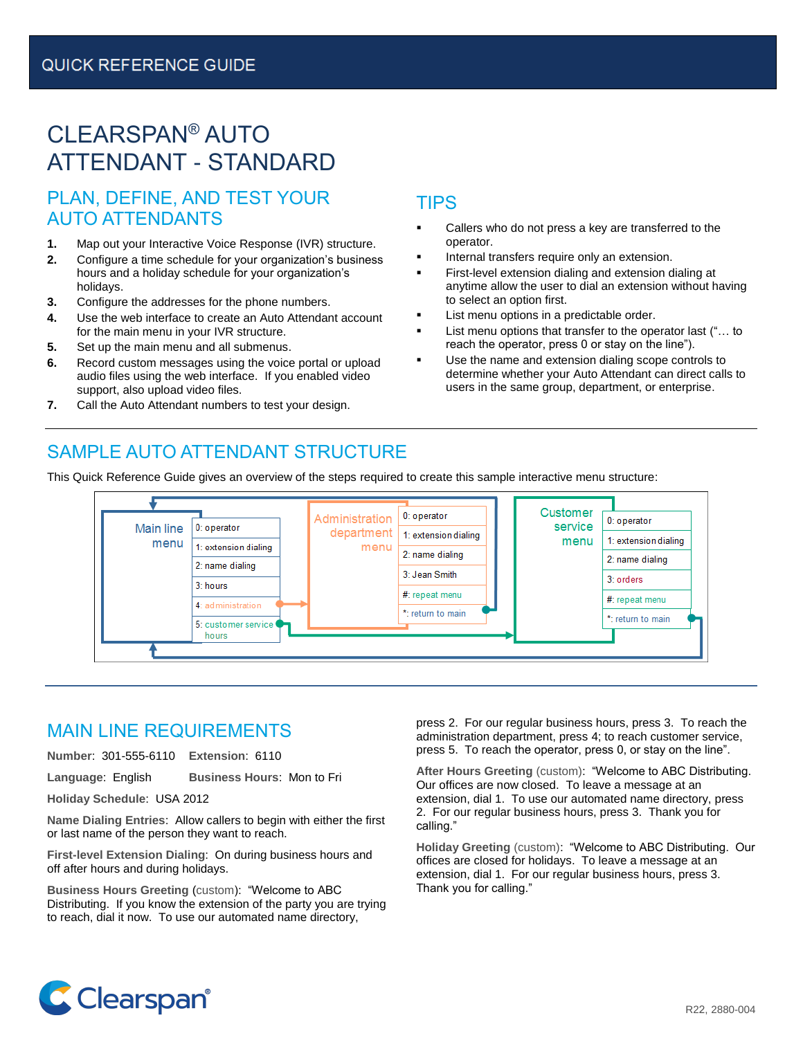# CLEARSPAN® AUTO ATTENDANT - STANDARD

## PLAN, DEFINE, AND TEST YOUR AUTO ATTENDANTS

- **1.** Map out your Interactive Voice Response (IVR) structure.
- **2.** Configure a time schedule for your organization's business hours and a holiday schedule for your organization's holidays.
- **3.** Configure the addresses for the phone numbers.
- **4.** Use the web interface to create an Auto Attendant account for the main menu in your IVR structure.
- **5.** Set up the main menu and all submenus.
- **6.** Record custom messages using the voice portal or upload audio files using the web interface. If you enabled video support, also upload video files.
- **7.** Call the Auto Attendant numbers to test your design.

## TIPS

- Callers who do not press a key are transferred to the operator.
- Internal transfers require only an extension.
- First-level extension dialing and extension dialing at anytime allow the user to dial an extension without having to select an option first.
- List menu options in a predictable order.
- List menu options that transfer to the operator last ("... to reach the operator, press 0 or stay on the line").
- Use the name and extension dialing scope controls to determine whether your Auto Attendant can direct calls to users in the same group, department, or enterprise.

## SAMPLE AUTO ATTENDANT STRUCTURE

This Quick Reference Guide gives an overview of the steps required to create this sample interactive menu structure:



### MAIN LINE REQUIREMENTS

**Number**: 301-555-6110 **Extension**: 6110

**Language**: English **Business Hours**: Mon to Fri

**Holiday Schedule**: USA 2012

**Name Dialing Entries**: Allow callers to begin with either the first or last name of the person they want to reach.

**First-level Extension Dialing**: On during business hours and off after hours and during holidays.

**Business Hours Greeting** (custom): "Welcome to ABC Distributing. If you know the extension of the party you are trying to reach, dial it now. To use our automated name directory,

press 2. For our regular business hours, press 3. To reach the administration department, press 4; to reach customer service, press 5. To reach the operator, press 0, or stay on the line".

**After Hours Greeting** (custom): "Welcome to ABC Distributing. Our offices are now closed. To leave a message at an extension, dial 1. To use our automated name directory, press 2. For our regular business hours, press 3. Thank you for calling."

**Holiday Greeting** (custom): "Welcome to ABC Distributing. Our offices are closed for holidays. To leave a message at an extension, dial 1. For our regular business hours, press 3. Thank you for calling."

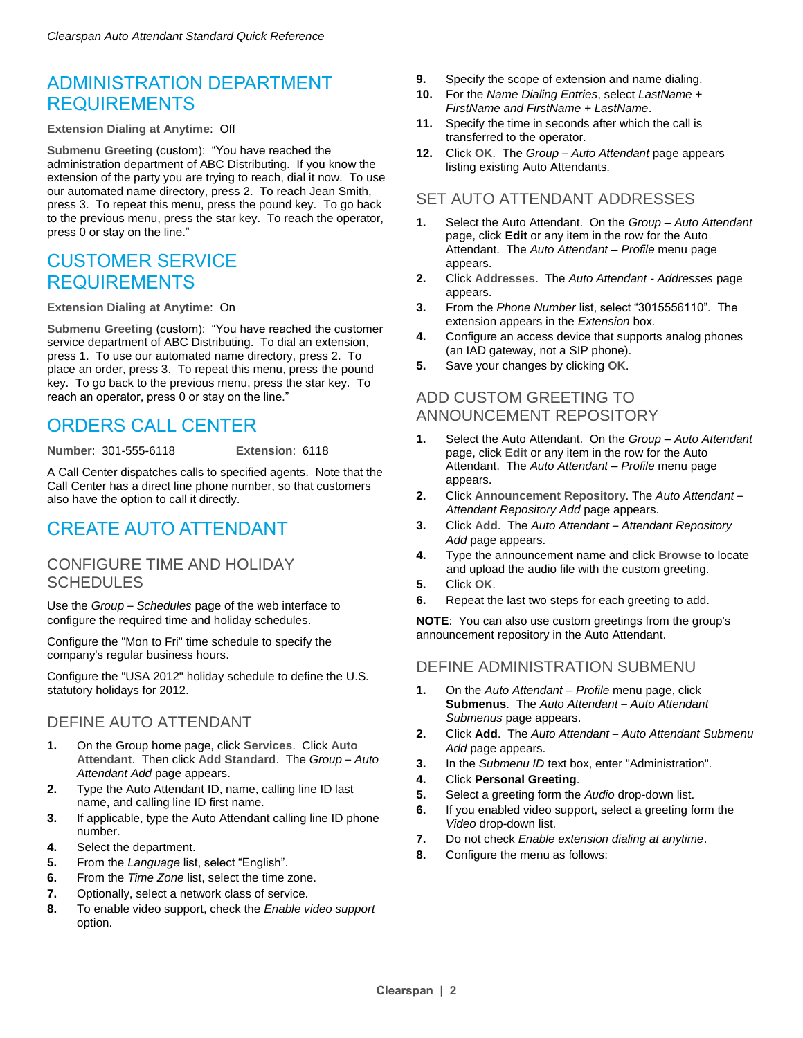## ADMINISTRATION DEPARTMENT REQUIREMENTS

**Extension Dialing at Anytime**: Off

**Submenu Greeting** (custom): "You have reached the administration department of ABC Distributing. If you know the extension of the party you are trying to reach, dial it now. To use our automated name directory, press 2. To reach Jean Smith, press 3. To repeat this menu, press the pound key. To go back to the previous menu, press the star key. To reach the operator, press 0 or stay on the line."

## CUSTOMER SERVICE REQUIREMENTS

**Extension Dialing at Anytime**: On

**Submenu Greeting** (custom): "You have reached the customer service department of ABC Distributing. To dial an extension, press 1. To use our automated name directory, press 2. To place an order, press 3. To repeat this menu, press the pound key. To go back to the previous menu, press the star key. To reach an operator, press 0 or stay on the line."

## ORDERS CALL CENTER

**Number**: 301-555-6118 **Extension**: 6118

A Call Center dispatches calls to specified agents. Note that the Call Center has a direct line phone number, so that customers also have the option to call it directly.

## CREATE AUTO ATTENDANT

### CONFIGURE TIME AND HOLIDAY **SCHEDULES**

Use the *Group – Schedules* page of the web interface to configure the required time and holiday schedules.

Configure the "Mon to Fri" time schedule to specify the company's regular business hours.

Configure the "USA 2012" holiday schedule to define the U.S. statutory holidays for 2012.

### DEFINE AUTO ATTENDANT

- **1.** On the Group home page, click **Services**. Click **Auto Attendant**. Then click **Add Standard**. The *Group* – *Auto Attendant Add* page appears.
- **2.** Type the Auto Attendant ID, name, calling line ID last name, and calling line ID first name.
- **3.** If applicable, type the Auto Attendant calling line ID phone number.
- **4.** Select the department.
- **5.** From the *Language* list, select "English".
- **6.** From the *Time Zone* list, select the time zone.
- **7.** Optionally, select a network class of service.
- **8.** To enable video support, check the *Enable video support* option.
- **9.** Specify the scope of extension and name dialing.
- **10.** For the *Name Dialing Entries*, select *LastName + FirstName and FirstName + LastName*.
- **11.** Specify the time in seconds after which the call is transferred to the operator.
- **12.** Click **OK**. The *Group Auto Attendant* page appears listing existing Auto Attendants.

### SET AUTO ATTENDANT ADDRESSES

- **1.** Select the Auto Attendant. On the *Group – Auto Attendant* page, click **Edit** or any item in the row for the Auto Attendant. The *Auto Attendant – Profile* menu page appears.
- **2.** Click **Addresses**. The *Auto Attendant - Addresses* page appears.
- **3.** From the *Phone Number* list, select "3015556110". The extension appears in the *Extension* box.
- **4.** Configure an access device that supports analog phones (an IAD gateway, not a SIP phone).
- **5.** Save your changes by clicking **OK**.

### ADD CUSTOM GREETING TO ANNOUNCEMENT REPOSITORY

- **1.** Select the Auto Attendant. On the *Group – Auto Attendant* page, click **Edit** or any item in the row for the Auto Attendant. The *Auto Attendant – Profile* menu page appears.
- **2.** Click **Announcement Repository**. The *Auto Attendant – Attendant Repository Add* page appears.
- **3.** Click **Add**. The *Auto Attendant – Attendant Repository Add* page appears.
- **4.** Type the announcement name and click **Browse** to locate and upload the audio file with the custom greeting.
- **5.** Click **OK**.
- **6.** Repeat the last two steps for each greeting to add.

**NOTE**: You can also use custom greetings from the group's announcement repository in the Auto Attendant.

#### DEFINE ADMINISTRATION SUBMENU

- **1.** On the *Auto Attendant – Profile* menu page, click **Submenus**. The *Auto Attendant – Auto Attendant Submenus* page appears.
- **2.** Click **Add**. The *Auto Attendant Auto Attendant Submenu Add* page appears.
- **3.** In the *Submenu ID* text box, enter "Administration".
- **4.** Click **Personal Greeting**.
- **5.** Select a greeting form the *Audio* drop-down list.
- **6.** If you enabled video support, select a greeting form the *Video* drop-down list.
- **7.** Do not check *Enable extension dialing at anytime*.
- **8.** Configure the menu as follows: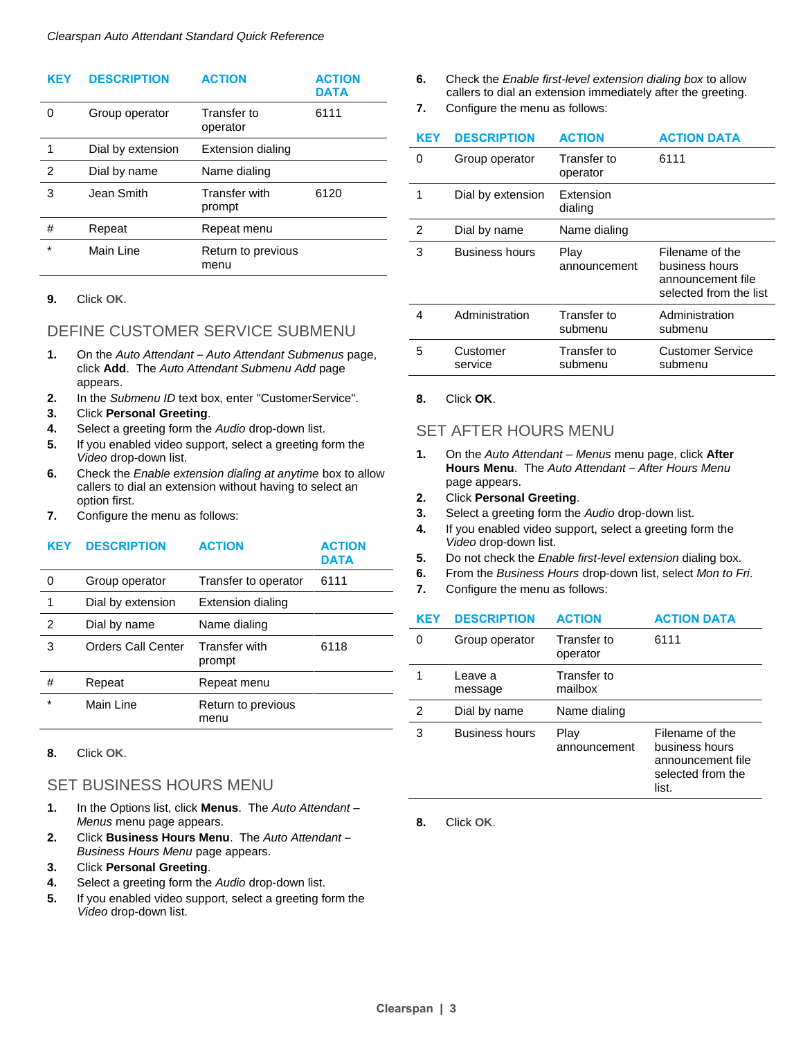| <b>KEY</b>     | <b>DESCRIPTION</b> | <b>ACTION</b>                  | <b>ACTION</b><br><b>DATA</b> |
|----------------|--------------------|--------------------------------|------------------------------|
| 0              | Group operator     | Transfer to<br>operator        | 6111                         |
| 1              | Dial by extension  | <b>Extension dialing</b>       |                              |
| $\overline{2}$ | Dial by name       | Name dialing                   |                              |
| 3              | Jean Smith         | <b>Transfer with</b><br>prompt | 6120                         |
| #              | Repeat             | Repeat menu                    |                              |
| $\star$        | Main Line          | Return to previous<br>menu     |                              |

#### **9.** Click **OK**.

#### DEFINE CUSTOMER SERVICE SUBMENU

- **1.** On the *Auto Attendant – Auto Attendant Submenus* page, click **Add**. The *Auto Attendant Submenu Add* page appears.
- **2.** In the *Submenu ID* text box, enter "CustomerService".
- **3.** Click **Personal Greeting**.
- **4.** Select a greeting form the *Audio* drop-down list.
- **5.** If you enabled video support, select a greeting form the *Video* drop-down list.
- **6.** Check the *Enable extension dialing at anytime* box to allow callers to dial an extension without having to select an option first.
- **7.** Configure the menu as follows:

| KEY     | <b>DESCRIPTION</b> | <b>ACTION</b>                  | <b>ACTION</b><br><b>DATA</b> |
|---------|--------------------|--------------------------------|------------------------------|
| O       | Group operator     | Transfer to operator           | 6111                         |
| 1       | Dial by extension  | <b>Extension dialing</b>       |                              |
| 2       | Dial by name       | Name dialing                   |                              |
| 3       | Orders Call Center | <b>Transfer with</b><br>prompt | 6118                         |
| #       | Repeat             | Repeat menu                    |                              |
| $\star$ | Main Line          | Return to previous<br>menu     |                              |

**8.** Click **OK**.

#### SET BUSINESS HOURS MENU

- **1.** In the Options list, click **Menus**. The *Auto Attendant – Menus* menu page appears.
- **2.** Click **Business Hours Menu**. The *Auto Attendant Business Hours Menu* page appears.
- **3.** Click **Personal Greeting**.
- **4.** Select a greeting form the *Audio* drop-down list.
- **5.** If you enabled video support, select a greeting form the *Video* drop-down list.
- **6.** Check the *Enable first-level extension dialing box* to allow callers to dial an extension immediately after the greeting.
- **7.** Configure the menu as follows:

| KEY | <b>DESCRIPTION</b>  | <b>ACTION</b>           | <b>ACTION DATA</b>                                                               |
|-----|---------------------|-------------------------|----------------------------------------------------------------------------------|
| 0   | Group operator      | Transfer to<br>operator | 6111                                                                             |
| 1   | Dial by extension   | Extension<br>dialing    |                                                                                  |
| 2   | Dial by name        | Name dialing            |                                                                                  |
| 3   | Business hours      | Play<br>announcement    | Filename of the<br>business hours<br>announcement file<br>selected from the list |
| 4   | Administration      | Transfer to<br>submenu  | Administration<br>submenu                                                        |
| 5   | Customer<br>service | Transfer to<br>submenu  | <b>Customer Service</b><br>submenu                                               |

**8.** Click **OK**.

#### SET AFTER HOURS MENU

- **1.** On the *Auto Attendant – Menus* menu page, click **After Hours Menu**. The *Auto Attendant* – *After Hours Menu* page appears.
- **2.** Click **Personal Greeting**.
- **3.** Select a greeting form the *Audio* drop-down list.
- **4.** If you enabled video support, select a greeting form the *Video* drop-down list.
- **5.** Do not check the *Enable first-level extension* dialing box.
- **6.** From the *Business Hours* drop-down list, select *Mon to Fri*.
- **7.** Configure the menu as follows:

| KEY | <b>DESCRIPTION</b>    | <b>ACTION</b>           | <b>ACTION DATA</b>                                                                   |
|-----|-----------------------|-------------------------|--------------------------------------------------------------------------------------|
| 0   | Group operator        | Transfer to<br>operator | 6111                                                                                 |
|     | Leave a<br>message    | Transfer to<br>mailbox  |                                                                                      |
| 2   | Dial by name          | Name dialing            |                                                                                      |
| 3   | <b>Business hours</b> | Play<br>announcement    | Filename of the<br>business hours<br>announcement file<br>selected from the<br>list. |

**8.** Click **OK**.